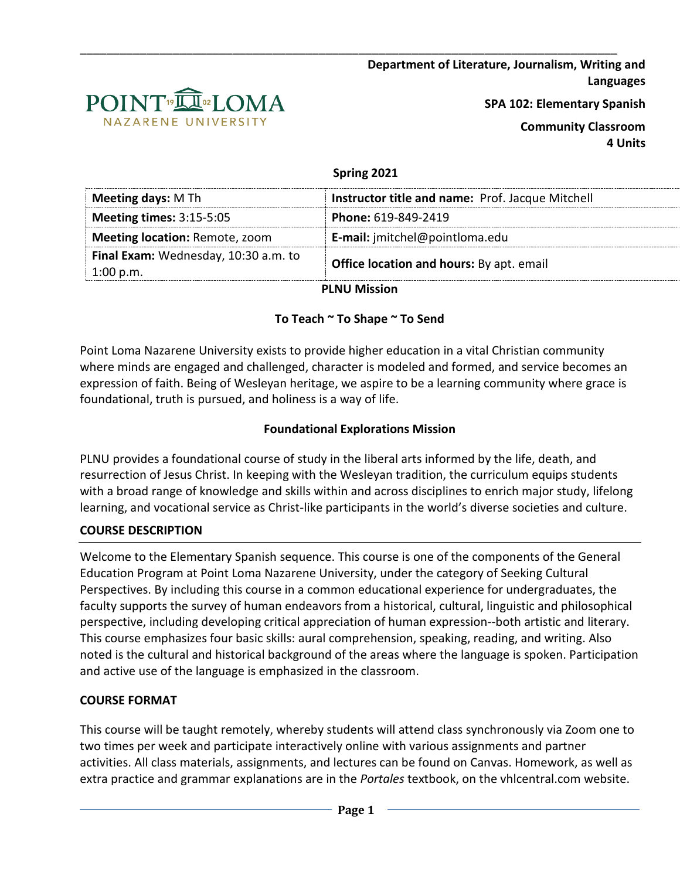**Department of Literature, Journalism, Writing and Languages**



**SPA 102: Elementary Spanish**

**Community Classroom 4 Units**

#### **Spring 2021**

\_\_\_\_\_\_\_\_\_\_\_\_\_\_\_\_\_\_\_\_\_\_\_\_\_\_\_\_\_\_\_\_\_\_\_\_\_\_\_\_\_\_\_\_\_\_\_\_\_\_\_\_\_\_\_\_\_\_\_\_\_\_\_\_\_\_\_\_\_\_\_\_\_\_\_\_\_\_\_\_\_

| Instructor title and name: Prof. Jacque Mitchell |  |  |
|--------------------------------------------------|--|--|
| Phone: 619-849-2419                              |  |  |
| <b>E-mail:</b> jmitchel@pointloma.edu            |  |  |
| <b>Office location and hours:</b> By apt. email  |  |  |
|                                                  |  |  |

**PLNU Mission**

#### **To Teach ~ To Shape ~ To Send**

Point Loma Nazarene University exists to provide higher education in a vital Christian community where minds are engaged and challenged, character is modeled and formed, and service becomes an expression of faith. Being of Wesleyan heritage, we aspire to be a learning community where grace is foundational, truth is pursued, and holiness is a way of life.

## **Foundational Explorations Mission**

PLNU provides a foundational course of study in the liberal arts informed by the life, death, and resurrection of Jesus Christ. In keeping with the Wesleyan tradition, the curriculum equips students with a broad range of knowledge and skills within and across disciplines to enrich major study, lifelong learning, and vocational service as Christ-like participants in the world's diverse societies and culture.

#### **COURSE DESCRIPTION**

Welcome to the Elementary Spanish sequence. This course is one of the components of the General Education Program at Point Loma Nazarene University, under the category of Seeking Cultural Perspectives. By including this course in a common educational experience for undergraduates, the faculty supports the survey of human endeavors from a historical, cultural, linguistic and philosophical perspective, including developing critical appreciation of human expression--both artistic and literary. This course emphasizes four basic skills: aural comprehension, speaking, reading, and writing. Also noted is the cultural and historical background of the areas where the language is spoken. Participation and active use of the language is emphasized in the classroom.

#### **COURSE FORMAT**

This course will be taught remotely, whereby students will attend class synchronously via Zoom one to two times per week and participate interactively online with various assignments and partner activities. All class materials, assignments, and lectures can be found on Canvas. Homework, as well as extra practice and grammar explanations are in the *Portales* textbook, on the vhlcentral.com website.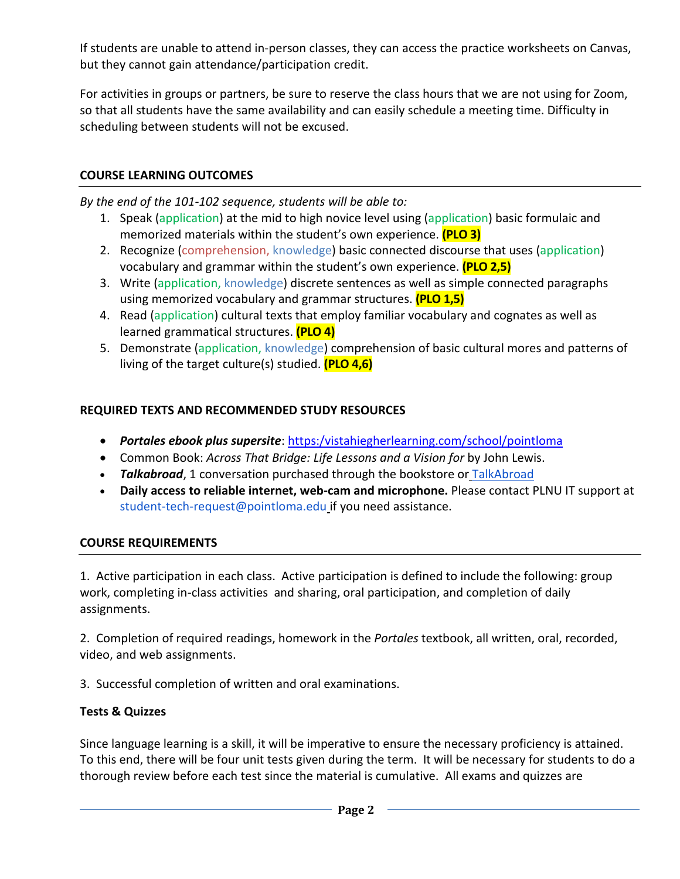If students are unable to attend in-person classes, they can access the practice worksheets on Canvas, but they cannot gain attendance/participation credit.

For activities in groups or partners, be sure to reserve the class hours that we are not using for Zoom, so that all students have the same availability and can easily schedule a meeting time. Difficulty in scheduling between students will not be excused.

## **COURSE LEARNING OUTCOMES**

*By the end of the 101-102 sequence, students will be able to:*

- 1. Speak (application) at the mid to high novice level using (application) basic formulaic and memorized materials within the student's own experience. **(PLO 3)**
- 2. Recognize (comprehension, knowledge) basic connected discourse that uses (application) vocabulary and grammar within the student's own experience. **(PLO 2,5)**
- 3. Write (application, knowledge) discrete sentences as well as simple connected paragraphs using memorized vocabulary and grammar structures. **(PLO 1,5)**
- 4. Read (application) cultural texts that employ familiar vocabulary and cognates as well as learned grammatical structures. **(PLO 4)**
- 5. Demonstrate (application, knowledge) comprehension of basic cultural mores and patterns of living of the target culture(s) studied. **(PLO 4,6)**

## **REQUIRED TEXTS AND RECOMMENDED STUDY RESOURCES**

- *Portales ebook plus supersite*: [https:/vistahiegherlearning.com/school/pointloma](https://vistahiegherlearning.com/school/pointloma)
- Common Book: *Across That Bridge: Life Lessons and a Vision for* by John Lewis.
- *Talkabroad*, 1 conversation purchased through the bookstore or [TalkAbroad](https://talkabroad.com/)
- **Daily access to reliable internet, web-cam and microphone.** Please contact PLNU IT support at student-tech-request@pointloma.edu if you need assistance.

#### **COURSE REQUIREMENTS**

1. Active participation in each class. Active participation is defined to include the following: group work, completing in-class activities and sharing, oral participation, and completion of daily assignments.

2. Completion of required readings, homework in the *Portales* textbook, all written, oral, recorded, video, and web assignments.

3. Successful completion of written and oral examinations.

# **Tests & Quizzes**

Since language learning is a skill, it will be imperative to ensure the necessary proficiency is attained. To this end, there will be four unit tests given during the term. It will be necessary for students to do a thorough review before each test since the material is cumulative. All exams and quizzes are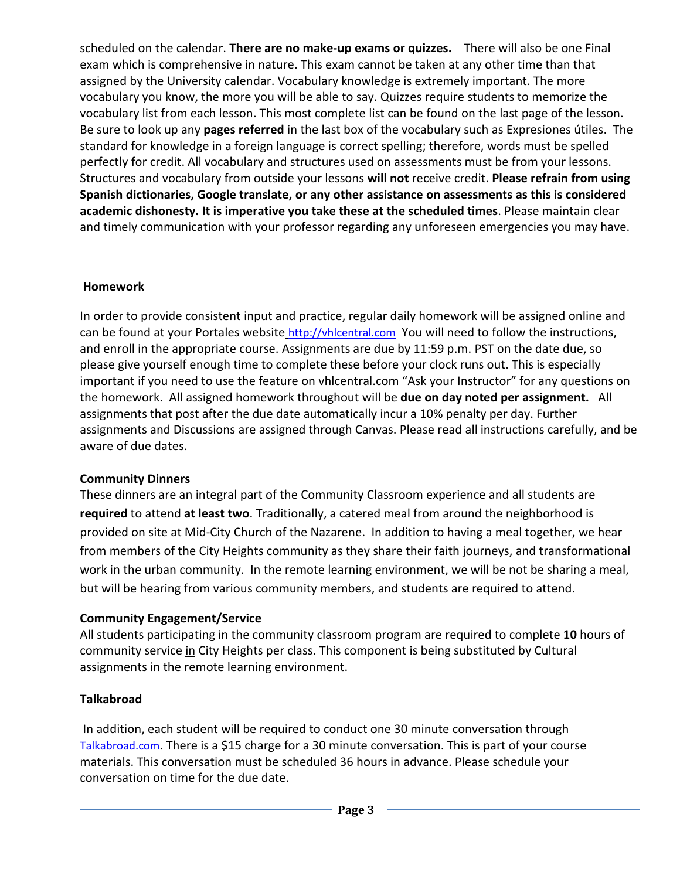scheduled on the calendar. **There are no make-up exams or quizzes.** There will also be one Final exam which is comprehensive in nature. This exam cannot be taken at any other time than that assigned by the University calendar. Vocabulary knowledge is extremely important. The more vocabulary you know, the more you will be able to say. Quizzes require students to memorize the vocabulary list from each lesson. This most complete list can be found on the last page of the lesson. Be sure to look up any **pages referred** in the last box of the vocabulary such as Expresiones útiles. The standard for knowledge in a foreign language is correct spelling; therefore, words must be spelled perfectly for credit. All vocabulary and structures used on assessments must be from your lessons. Structures and vocabulary from outside your lessons **will not** receive credit. **Please refrain from using Spanish dictionaries, Google translate, or any other assistance on assessments as this is considered academic dishonesty. It is imperative you take these at the scheduled times**. Please maintain clear and timely communication with your professor regarding any unforeseen emergencies you may have.

# **Homework**

In order to provide consistent input and practice, regular daily homework will be assigned online and can be found at your Portales website [http://vhlcentral.com](http://vhlcentral.com/) You will need to follow the instructions, and enroll in the appropriate course. Assignments are due by 11:59 p.m. PST on the date due, so please give yourself enough time to complete these before your clock runs out. This is especially important if you need to use the feature on vhlcentral.com "Ask your Instructor" for any questions on the homework. All assigned homework throughout will be **due on day noted per assignment.** All assignments that post after the due date automatically incur a 10% penalty per day. Further assignments and Discussions are assigned through Canvas. Please read all instructions carefully, and be aware of due dates.

# **Community Dinners**

These dinners are an integral part of the Community Classroom experience and all students are **required** to attend **at least two**. Traditionally, a catered meal from around the neighborhood is provided on site at Mid-City Church of the Nazarene. In addition to having a meal together, we hear from members of the City Heights community as they share their faith journeys, and transformational work in the urban community. In the remote learning environment, we will be not be sharing a meal, but will be hearing from various community members, and students are required to attend.

#### **Community Engagement/Service**

All students participating in the community classroom program are required to complete **10** hours of community service in City Heights per class. This component is being substituted by Cultural assignments in the remote learning environment.

#### **Talkabroad**

In addition, each student will be required to conduct one 30 minute conversation through Talkabroad.com. There is a \$15 charge for a 30 minute conversation. This is part of your course materials. This conversation must be scheduled 36 hours in advance. Please schedule your conversation on time for the due date.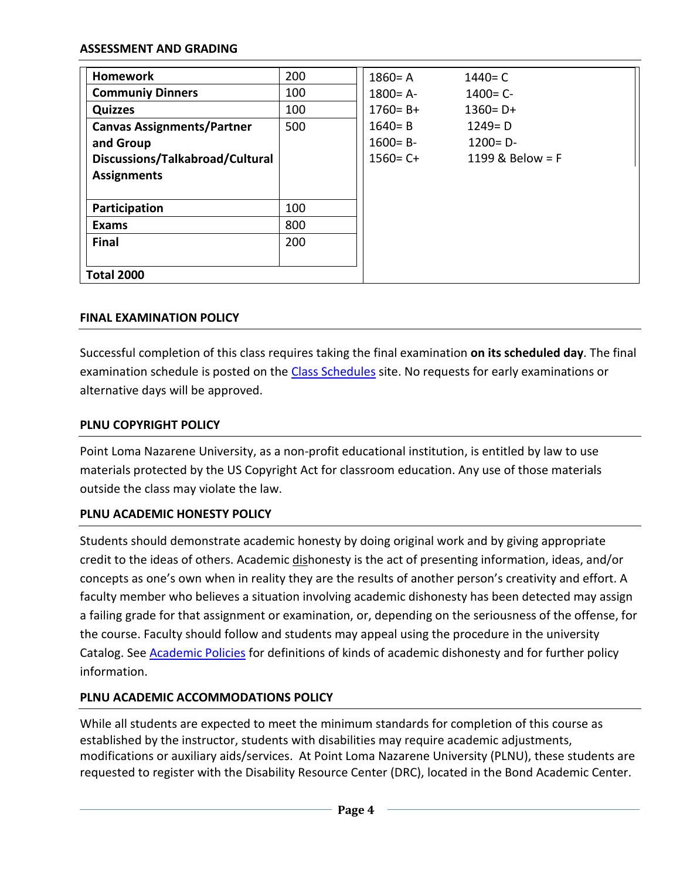#### **ASSESSMENT AND GRADING**

| <b>Homework</b>                   | 200 | $1860 = A$   | $1440 = C$       |
|-----------------------------------|-----|--------------|------------------|
| <b>Communiy Dinners</b>           | 100 | $1800 = A -$ | $1400 = C -$     |
| <b>Quizzes</b>                    | 100 | $1760 = B +$ | $1360 = D +$     |
| <b>Canvas Assignments/Partner</b> | 500 | $1640 = B$   | $1249 = D$       |
| and Group                         |     | $1600 = B -$ | $1200 = D -$     |
| Discussions/Talkabroad/Cultural   |     | $1560 = C +$ | 1199 & Below = F |
| <b>Assignments</b>                |     |              |                  |
|                                   |     |              |                  |
| Participation                     | 100 |              |                  |
| <b>Exams</b>                      | 800 |              |                  |
| <b>Final</b>                      | 200 |              |                  |
|                                   |     |              |                  |
| <b>Total 2000</b>                 |     |              |                  |

#### **FINAL EXAMINATION POLICY**

Successful completion of this class requires taking the final examination **on its scheduled day**. The final examination schedule is posted on the [Class Schedules](http://www.pointloma.edu/experience/academics/class-schedules) site. No requests for early examinations or alternative days will be approved.

## **PLNU COPYRIGHT POLICY**

Point Loma Nazarene University, as a non-profit educational institution, is entitled by law to use materials protected by the US Copyright Act for classroom education. Any use of those materials outside the class may violate the law.

#### **PLNU ACADEMIC HONESTY POLICY**

Students should demonstrate academic honesty by doing original work and by giving appropriate credit to the ideas of others. Academic dishonesty is the act of presenting information, ideas, and/or concepts as one's own when in reality they are the results of another person's creativity and effort. A faculty member who believes a situation involving academic dishonesty has been detected may assign a failing grade for that assignment or examination, or, depending on the seriousness of the offense, for the course. Faculty should follow and students may appeal using the procedure in the university Catalog. See **Academic Policies for definitions of kinds of academic dishonesty and for further policy** information.

#### **PLNU ACADEMIC ACCOMMODATIONS POLICY**

While all students are expected to meet the minimum standards for completion of this course as established by the instructor, students with disabilities may require academic adjustments, modifications or auxiliary aids/services. At Point Loma Nazarene University (PLNU), these students are requested to register with the Disability Resource Center (DRC), located in the Bond Academic Center.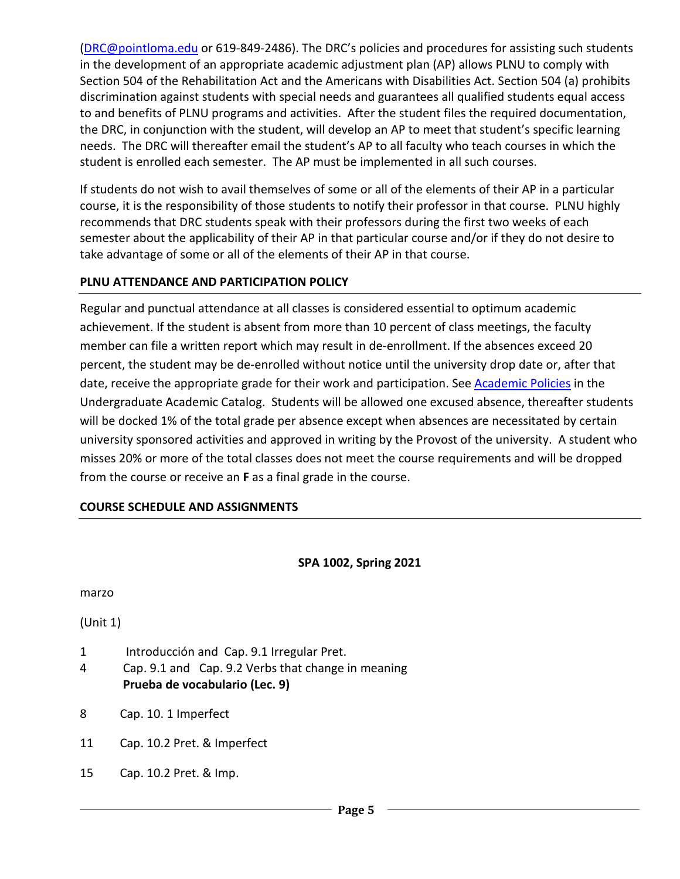[\(DRC@pointloma.edu](mailto:DRC@pointloma.edu) or 619-849-2486). The DRC's policies and procedures for assisting such students in the development of an appropriate academic adjustment plan (AP) allows PLNU to comply with Section 504 of the Rehabilitation Act and the Americans with Disabilities Act. Section 504 (a) prohibits discrimination against students with special needs and guarantees all qualified students equal access to and benefits of PLNU programs and activities. After the student files the required documentation, the DRC, in conjunction with the student, will develop an AP to meet that student's specific learning needs. The DRC will thereafter email the student's AP to all faculty who teach courses in which the student is enrolled each semester. The AP must be implemented in all such courses.

If students do not wish to avail themselves of some or all of the elements of their AP in a particular course, it is the responsibility of those students to notify their professor in that course. PLNU highly recommends that DRC students speak with their professors during the first two weeks of each semester about the applicability of their AP in that particular course and/or if they do not desire to take advantage of some or all of the elements of their AP in that course.

## **PLNU ATTENDANCE AND PARTICIPATION POLICY**

Regular and punctual attendance at all classes is considered essential to optimum academic achievement. If the student is absent from more than 10 percent of class meetings, the faculty member can file a written report which may result in de-enrollment. If the absences exceed 20 percent, the student may be de-enrolled without notice until the university drop date or, after that date, receive the appropriate grade for their work and participation. See **Academic Policies** in the Undergraduate Academic Catalog. Students will be allowed one excused absence, thereafter students will be docked 1% of the total grade per absence except when absences are necessitated by certain university sponsored activities and approved in writing by the Provost of the university. A student who misses 20% or more of the total classes does not meet the course requirements and will be dropped from the course or receive an **F** as a final grade in the course.

# **COURSE SCHEDULE AND ASSIGNMENTS**

#### **SPA 1002, Spring 2021**

marzo

(Unit 1)

- 1 Introducción and Cap. 9.1 Irregular Pret.
- 4 Cap. 9.1 and Cap. 9.2 Verbs that change in meaning **Prueba de vocabulario (Lec. 9)**
- 8 Cap. 10. 1 Imperfect
- 11 Cap. 10.2 Pret. & Imperfect
- 15 Cap. 10.2 Pret. & Imp.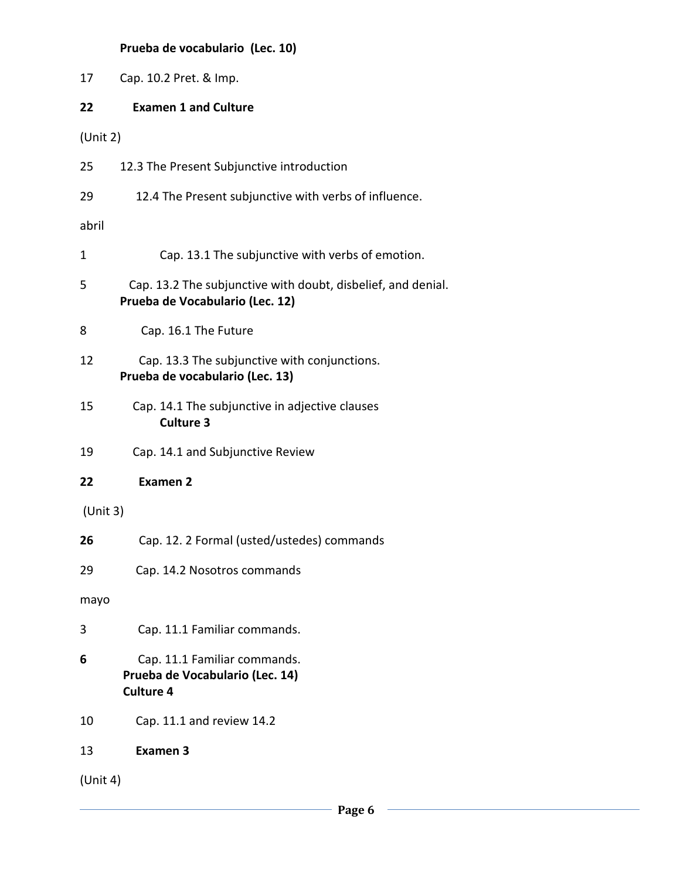# **Prueba de vocabulario (Lec. 10)**

| 17          | Cap. 10.2 Pret. & Imp.                                                                          |
|-------------|-------------------------------------------------------------------------------------------------|
| 22          | <b>Examen 1 and Culture</b>                                                                     |
| (Unit 2)    |                                                                                                 |
| 25          | 12.3 The Present Subjunctive introduction                                                       |
| 29          | 12.4 The Present subjunctive with verbs of influence.                                           |
| abril       |                                                                                                 |
| $\mathbf 1$ | Cap. 13.1 The subjunctive with verbs of emotion.                                                |
| 5           | Cap. 13.2 The subjunctive with doubt, disbelief, and denial.<br>Prueba de Vocabulario (Lec. 12) |
| 8           | Cap. 16.1 The Future                                                                            |
| 12          | Cap. 13.3 The subjunctive with conjunctions.<br>Prueba de vocabulario (Lec. 13)                 |
| 15          | Cap. 14.1 The subjunctive in adjective clauses<br><b>Culture 3</b>                              |
| 19          | Cap. 14.1 and Subjunctive Review                                                                |
| 22          | <b>Examen 2</b>                                                                                 |
| (Unit 3)    |                                                                                                 |
| 26          | Cap. 12. 2 Formal (usted/ustedes) commands                                                      |
| 29          | Cap. 14.2 Nosotros commands                                                                     |
| mayo        |                                                                                                 |
| 3           | Cap. 11.1 Familiar commands.                                                                    |
| 6           | Cap. 11.1 Familiar commands.<br>Prueba de Vocabulario (Lec. 14)<br><b>Culture 4</b>             |
| 10          | Cap. 11.1 and review 14.2                                                                       |
| 13          | <b>Examen 3</b>                                                                                 |
| (Unit 4)    |                                                                                                 |